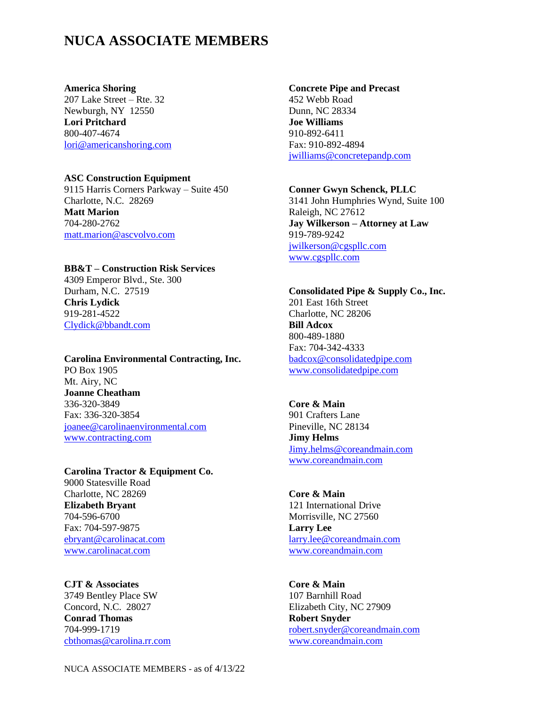# **NUCA ASSOCIATE MEMBERS**

**America Shoring** 207 Lake Street – Rte. 32 Newburgh, NY 12550 **Lori Pritchard** 800-407-4674 [lori@americanshoring.com](mailto:lori@americanshoring.com)

#### **ASC Construction Equipment**

9115 Harris Corners Parkway – Suite 450 Charlotte, N.C. 28269 **Matt Marion** 704-280-2762 [matt.marion@ascvolvo.com](mailto:matt.marion@ascvolvo.com)

## **BB&T – Construction Risk Services**

4309 Emperor Blvd., Ste. 300 Durham, N.C. 27519 **Chris Lydick** 919-281-4522 [Clydick@bbandt.com](mailto:Clydick@bbandt.com)

## **Carolina Environmental Contracting, Inc.** PO Box 1905 Mt. Airy, NC **Joanne Cheatham** 336-320-3849 Fax: 336-320-3854 [joanee@carolinaenvironmental.com](mailto:joanee@carolinaenvironmental.com) [www.contracting.com](http://www.contracting.com/)

**Carolina Tractor & Equipment Co.** 9000 Statesville Road Charlotte, NC 28269 **Elizabeth Bryant** 704-596-6700 Fax: 704-597-9875 [ebryant@carolinacat.com](mailto:ebryant@carolinacat.com) [www.carolinacat.com](http://www.carolinacat.com/)

**CJT & Associates** 3749 Bentley Place SW Concord, N.C. 28027 **Conrad Thomas** 704-999-1719 [cbthomas@carolina.rr.com](mailto:cbthomas@carolina.rr.com)

#### **Concrete Pipe and Precast**

452 Webb Road Dunn, NC 28334 **Joe Williams** 910-892-6411 Fax: 910-892-4894 [jwilliams@concretepandp.com](mailto:jwilliams@concretepandp.com)

#### **Conner Gwyn Schenck, PLLC**

3141 John Humphries Wynd, Suite 100 Raleigh, NC 27612 **Jay Wilkerson – Attorney at Law** 919-789-9242 [jwilkerson@cgspllc.com](mailto:jwilkerson@cgspllc.com) [www.cgspllc.com](http://www.cgspllc.com/)

#### **Consolidated Pipe & Supply Co., Inc.** 201 East 16th Street Charlotte, NC 28206

**Bill Adcox**  800-489-1880 Fax: 704-342-4333 [badcox@consolidatedpipe.com](mailto:badcox@consolidatedpipe.com) [www.consolidatedpipe.com](http://www.consolidatedpipe.com/)

## **Core & Main**

901 Crafters Lane Pineville, NC 28134 **Jimy Helms** [Jimy.helms@coreandmain.com](mailto:Jimy.helms@coreandmain.com) [www.coreandmain.com](http://www.coreandmain.com/)

## **Core & Main**  121 International Drive Morrisville, NC 27560 **Larry Lee** [larry.lee@coreandmain.com](mailto:larry.lee@coreandmain.com) [www.coreandmain.com](http://www.coreandmain.com/)

## **Core & Main** 107 Barnhill Road Elizabeth City, NC 27909 **Robert Snyder** [robert.snyder@coreandmain.com](mailto:robert.snyder@coreandmain.com) [www.coreandmain.com](http://www.coreandmain.com/)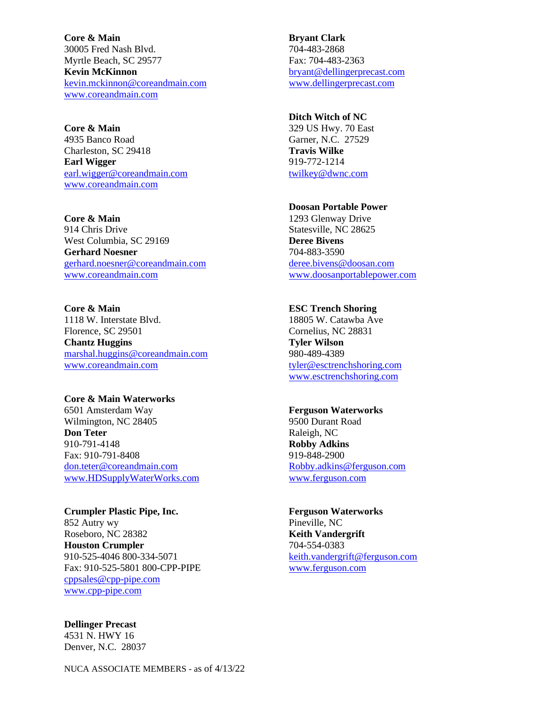**Core & Main**  30005 Fred Nash Blvd. Myrtle Beach, SC 29577 **Kevin McKinnon** [kevin.mckinnon@coreandmain.com](mailto:kevin.mckinnon@coreandmain.com) [www.coreandmain.com](http://www.coreandmain.com/)

**Core & Main** 4935 Banco Road Charleston, SC 29418 **Earl Wigger** [earl.wigger@coreandmain.com](mailto:earl.wigger@coreandmain.com) [www.coreandmain.com](http://www.coreandmain.com/)

**Core & Main**  914 Chris Drive West Columbia, SC 29169 **Gerhard Noesner** [gerhard.noesner@coreandmain.com](mailto:gerhard.noesner@coreandmain.com) [www.coreandmain.com](http://www.coreandmain.com/)

**Core & Main**  1118 W. Interstate Blvd. Florence, SC 29501 **Chantz Huggins** [marshal.huggins@coreandmain.com](mailto:marshal.huggins@coreandmain.com) [www.coreandmain.com](http://www.coreandmain.com/)

**Core & Main Waterworks** 6501 Amsterdam Way Wilmington, NC 28405 **Don Teter** 910-791-4148 Fax: 910-791-8408 [don.teter@coreandmain.com](mailto:don.teter@coreandmain.com) [www.HDSupplyWaterWorks.com](http://www.hdsupplywaterworks.com/)

**Crumpler Plastic Pipe, Inc.** 852 Autry wy Roseboro, NC 28382 **Houston Crumpler** 910-525-4046 800-334-5071 Fax: 910-525-5801 800-CPP-PIPE [cppsales@cpp-pipe.com](mailto:cppsales@cpp-pipe.com) [www.cpp-pipe.com](http://www.cpp-pipe.com/)

**Dellinger Precast** 4531 N. HWY 16 Denver, N.C. 28037

**Bryant Clark** 704-483-2868 Fax: 704-483-2363 [bryant@dellingerprecast.com](mailto:bryant@dellingerprecast.com) [www.dellingerprecast.com](http://www.dellingerprecast.com/)

**Ditch Witch of NC** 329 US Hwy. 70 East

Garner, N.C. 27529 **Travis Wilke** 919-772-1214 [twilkey@dwnc.com](mailto:twilkey@dwnc.com)

### **Doosan Portable Power**

1293 Glenway Drive Statesville, NC 28625 **Deree Bivens** 704-883-3590 [deree.bivens@doosan.com](mailto:deree.bivens@doosan.com) [www.doosanportablepower.com](http://www.doosanportablepower.com/)

#### **ESC Trench Shoring**

18805 W. Catawba Ave Cornelius, NC 28831 **Tyler Wilson** 980-489-4389 [tyler@esctrenchshoring.com](mailto:tyler@esctrenchshoring.com) [www.esctrenchshoring.com](http://www.esctrenchshoring.com/)

#### **Ferguson Waterworks**

9500 Durant Road Raleigh, NC **Robby Adkins** 919-848-2900 [Robby.adkins@ferguson.com](mailto:Robby.adkins@ferguson.com) [www.ferguson.com](http://www.ferguson.com/)

**Ferguson Waterworks** Pineville, NC **Keith Vandergrift** 704-554-0383 [keith.vandergrift@ferguson.com](mailto:keith.vandergrift@ferguson.com) [www.ferguson.com](http://www.ferguson.com/)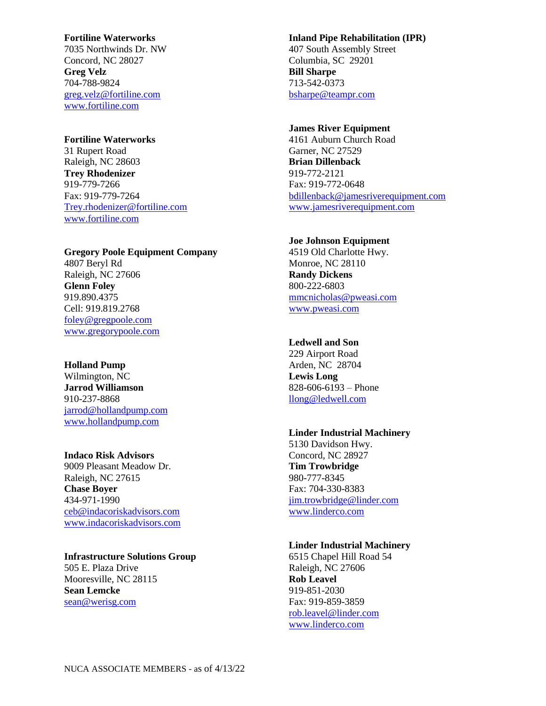#### **Fortiline Waterworks**

7035 Northwinds Dr. NW Concord, NC 28027 **Greg Velz**  704-788-9824 [greg.velz@fortiline.com](mailto:greg.velz@fortiline.com) [www.fortiline.com](http://www.fortiline.com/)

## **Fortiline Waterworks**

31 Rupert Road Raleigh, NC 28603 **Trey Rhodenizer** 919-779-7266 Fax: 919-779-7264 [Trey.rhodenizer@fortiline.com](mailto:Trey.rhodenizer@fortiline.com) [www.fortiline.com](http://www.fortiline.com/)

**Gregory Poole Equipment Company** 4807 Beryl Rd Raleigh, NC 27606 **Glenn Foley** 919.890.4375 Cell: 919.819.2768 [foley@gregpoole.com](mailto:foley@gregpoole.com) [www.gregorypoole.com](http://www.gregorypoole.com/)

## **Holland Pump**

Wilmington, NC **Jarrod Williamson** 910-237-8868 [jarrod@hollandpump.com](mailto:jarrod@hollandpump.com) [www.hollandpump.com](http://www.hollandpump.com/)

## **Indaco Risk Advisors**

9009 Pleasant Meadow Dr. Raleigh, NC 27615 **Chase Boyer** 434-971-1990 [ceb@indacoriskadvisors.com](mailto:ceb@indacoriskadvisors.com) [www.indacoriskadvisors.com](http://www.indacoriskadvisors.com/)

## **Infrastructure Solutions Group**

505 E. Plaza Drive Mooresville, NC 28115 **Sean Lemcke** [sean@werisg.com](mailto:sean@werisg.com)

## **Inland Pipe Rehabilitation (IPR)** 407 South Assembly Street Columbia, SC 29201 **Bill Sharpe** 713-542-0373 [bsharpe@teampr.com](mailto:bsharpe@teampr.com)

### **James River Equipment**

4161 Auburn Church Road Garner, NC 27529 **Brian Dillenback** 919-772-2121 Fax: 919-772-0648 [bdillenback@jamesriverequipment.com](mailto:bdillenback@jamesriverequipment.com) [www.jamesriverequipment.com](http://www.jamesriverequipment.com/)

## **Joe Johnson Equipment**

4519 Old Charlotte Hwy. Monroe, NC 28110 **Randy Dickens** 800-222-6803 [mmcnicholas@pweasi.com](mailto:mmcnicholas@pweasi.com) [www.pweasi.com](http://www.pweasi.com/)

#### **Ledwell and Son**

229 Airport Road Arden, NC 28704 **Lewis Long** 828-606-6193 – Phone [llong@ledwell.com](mailto:llong@ledwell.com)

#### **Linder Industrial Machinery**

5130 Davidson Hwy. Concord, NC 28927 **Tim Trowbridge** 980-777-8345 Fax: 704-330-8383 [jim.trowbridge@linder.com](mailto:jim.trowbridge@linder.com) [www.linderco.com](http://www.linderco.com/)

#### **Linder Industrial Machinery**

6515 Chapel Hill Road 54 Raleigh, NC 27606 **Rob Leavel** 919-851-2030 Fax: 919-859-3859 [rob.leavel@linder.com](mailto:rob.leavel@linder.com) [www.linderco.com](http://www.linderco.com/)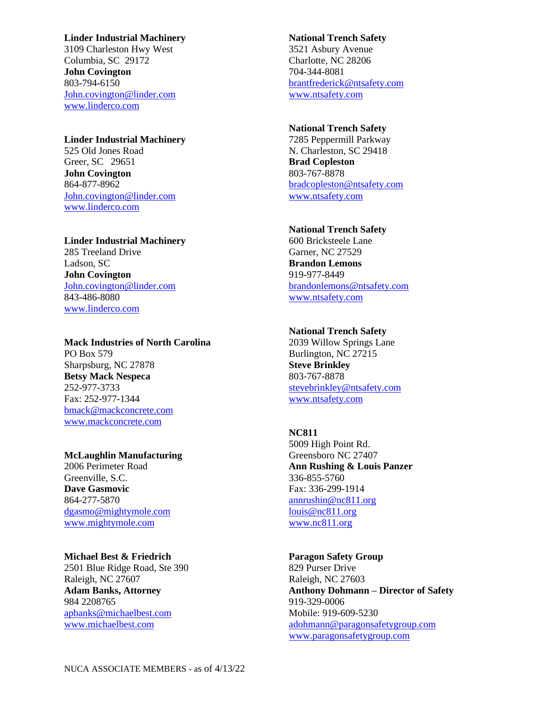#### **Linder Industrial Machinery**

3109 Charleston Hwy West Columbia, SC 29172 **John Covington** 803-794-6150 [John.covington@linder.com](mailto:John.covington@linder.com) [www.linderco.com](http://www.linderco.com/)

**Linder Industrial Machinery** 525 Old Jones Road Greer, SC 29651 **John Covington** 864-877-8962 [John.covington@linder.com](mailto:John.covington@linder.com) [www.linderco.com](http://www.linderco.com/)

## **Linder Industrial Machinery** 285 Treeland Drive Ladson, SC **John Covington** [John.covington@linder.com](mailto:John.covington@linder.com) 843-486-8080 [www.linderco.com](http://www.linderco.com/)

## **Mack Industries of North Carolina**

PO Box 579 Sharpsburg, NC 27878 **Betsy Mack Nespeca** 252-977-3733 Fax: 252-977-1344 [bmack@mackconcrete.com](mailto:bmack@mackconcrete.com) [www.mackconcrete.com](http://www.mackconcrete.com/)

## **McLaughlin Manufacturing**

2006 Perimeter Road Greenville, S.C. **Dave Gasmovic** 864-277-5870 [dgasmo@mightymole.com](mailto:dgasmo@mightymole.com) [www.mightymole.com](http://www.mightymole.com/)

#### **Michael Best & Friedrich**

2501 Blue Ridge Road, Ste 390 Raleigh, NC 27607 **Adam Banks, Attorney** 984 2208765 [apbanks@michaelbest.com](mailto:apbanks@michaelbest.com) [www.michaelbest.com](http://www.michaelbest.com/)

## **National Trench Safety** 3521 Asbury Avenue Charlotte, NC 28206 704-344-8081 [brantfrederick@ntsafety.com](mailto:brantfrederick@ntsafety.com) [www.ntsafety.com](http://www.ntsafety.com/)

### **National Trench Safety**

7285 Peppermill Parkway N. Charleston, SC 29418 **Brad Copleston** 803-767-8878 [bradcopleston@ntsafety.com](mailto:bradcopleston@ntsafety.com) [www.ntsafety.com](http://www.ntsafety.com/)

#### **National Trench Safety**

600 Bricksteele Lane Garner, NC 27529 **Brandon Lemons** 919-977-8449 [brandonlemons@ntsafety.com](mailto:brandonlemons@ntsafety.com) [www.ntsafety.com](http://www.ntsafety.com/)

#### **National Trench Safety**

2039 Willow Springs Lane Burlington, NC 27215 **Steve Brinkley** 803-767-8878 [stevebrinkley@ntsafety.com](mailto:stevebrinkley@ntsafety.com) [www.ntsafety.com](http://www.ntsafety.com/)

#### **NC811**

5009 High Point Rd. Greensboro NC 27407 **Ann Rushing & Louis Panzer** 336-855-5760 Fax: 336-299-1914 [annrushin@nc811.org](mailto:annrushin@nc811.org) [louis@nc811.org](mailto:louis@nc811.org) [www.nc811.org](http://www.nc811.org/)

#### **Paragon Safety Group**

829 Purser Drive Raleigh, NC 27603 **Anthony Dohmann – Director of Safety** 919-329-0006 Mobile: 919-609-5230 [adohmann@paragonsafetygroup.com](mailto:adohmann@paragonsafetygroup.com) [www.paragonsafetygroup.com](http://www.paragonsafetygroup.com/)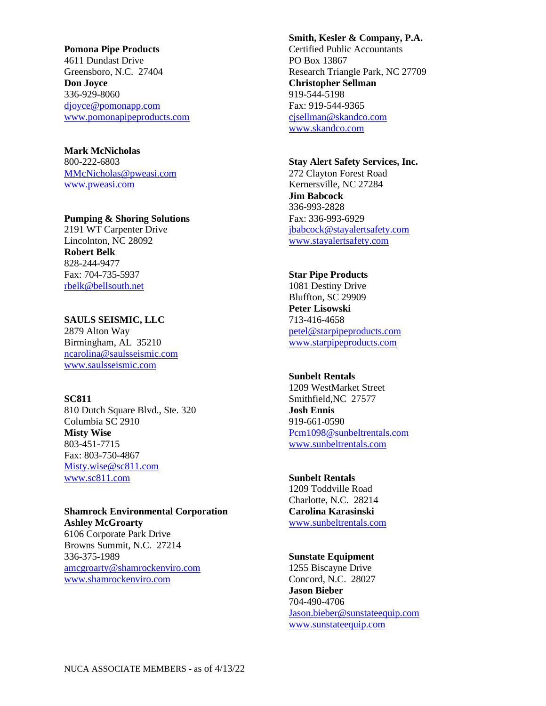**Pomona Pipe Products** 4611 Dundast Drive Greensboro, N.C. 27404 **Don Joyce** 336-929-8060 [djoyce@pomonapp.com](mailto:djoyce@pomonapp.com)  [www.pomonapipeproducts.com](http://www.pomonapipeproducts.com/)

**Mark McNicholas** 800-222-6803 [MMcNicholas@pweasi.com](mailto:MMcNicholas@pweasi.com) [www.pweasi.com](http://www.pweasi.com/)

### **Pumping & Shoring Solutions**

2191 WT Carpenter Drive Lincolnton, NC 28092 **Robert Belk** 828-244-9477 Fax: 704-735-5937 [rbelk@bellsouth.net](mailto:rbelk@bellsouth.net)

#### **SAULS SEISMIC, LLC**

2879 Alton Way Birmingham, AL 35210 [ncarolina@saulsseismic.com](mailto:ncarolina@saulsseismic.com) [www.saulsseismic.com](http://www.saulsseismic.com/)

#### **SC811**

810 Dutch Square Blvd., Ste. 320 Columbia SC 2910 **Misty Wise** 803-451-7715 Fax: 803-750-4867 [Misty.wise@sc811.com](mailto:Misty.wise@sc811.com) [www.sc811.com](http://www.sc811.com/)

**Shamrock Environmental Corporation Ashley McGroarty** 6106 Corporate Park Drive

Browns Summit, N.C. 27214 336-375-1989 [amcgroarty@shamrockenviro.com](mailto:amcgroarty@shamrockenviro.com) [www.shamrockenviro.com](http://www.shamrockenviro.com/)

**Smith, Kesler & Company, P.A.** Certified Public Accountants PO Box 13867 Research Triangle Park, NC 27709 **Christopher Sellman** 919-544-5198 Fax: 919-544-9365 [cjsellman@skandco.com](mailto:cjsellman@skandco.com) [www.skandco.com](http://www.skandco.com/)

# **Stay Alert Safety Services, Inc.**

272 Clayton Forest Road Kernersville, NC 27284 **Jim Babcock** 336-993-2828 Fax: 336-993-6929 [jbabcock@stayalertsafety.com](mailto:jbabcock@stayalertsafety.com) [www.stayalertsafety.com](http://www.stayalertsafety.com/)

## **Star Pipe Products**

1081 Destiny Drive Bluffton, SC 29909 **Peter Lisowski** 713-416-4658 [petel@starpipeproducts.com](mailto:petel@starpipeproducts.com) [www.starpipeproducts.com](http://www.starpipeproducts.com/)

#### **Sunbelt Rentals**

1209 WestMarket Street Smithfield,NC 27577 **Josh Ennis** 919-661-0590 [Pcm1098@sunbeltrentals.com](mailto:Pcm1098@sunbeltrentals.com) www.sunbeltrentals.com

## **Sunbelt Rentals**

1209 Toddville Road Charlotte, N.C. 28214 **Carolina Karasinski** [www.sunbeltrentals.com](http://www.sunbeltrentals.com/)

### **Sunstate Equipment**

1255 Biscayne Drive Concord, N.C. 28027 **Jason Bieber** 704-490-4706 [Jason.bieber@sunstateequip.com](mailto:Jason.bieber@sunstateequip.com) [www.sunstateequip.com](http://www.sunstateequip.com/)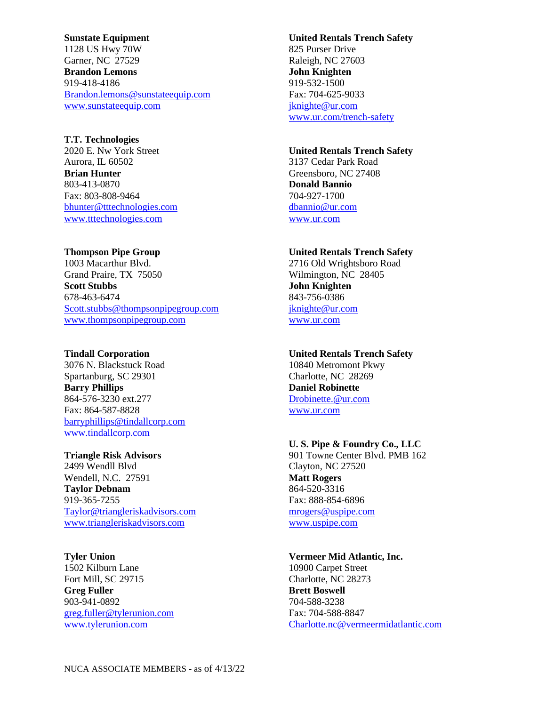**Sunstate Equipment** 1128 US Hwy 70W Garner, NC 27529 **Brandon Lemons** 919-418-4186 [Brandon.lemons@sunstateequip.com](mailto:Brandon.lemons@sunstateequip.com) [www.sunstateequip.com](http://www.sunstateequip.com/)

**T.T. Technologies** 2020 E. Nw York Street Aurora, IL 60502 **Brian Hunter** 803-413-0870 Fax: 803-808-9464 [bhunter@tttechnologies.com](mailto:bhunter@tttechnologies.com) [www.tttechnologies.com](http://www.tttechnologies.com/)

**Thompson Pipe Group** 1003 Macarthur Blvd. Grand Praire, TX 75050 **Scott Stubbs** 678-463-6474 [Scott.stubbs@thompsonpipegroup.com](mailto:Scott.stubbs@thompsonpipegroup.com) [www.thompsonpipegroup.com](http://www.thompsonpipegroup.com/)

**Tindall Corporation** 3076 N. Blackstuck Road Spartanburg, SC 29301 **Barry Phillips** 864-576-3230 ext.277 Fax: 864-587-8828 [barryphillips@tindallcorp.com](mailto:barryphillips@tindallcorp.com) [www.tindallcorp.com](http://www.tindallcorp.com/)

**Triangle Risk Advisors** 2499 Wendll Blvd Wendell, N.C. 27591 **Taylor Debnam** 919-365-7255 [Taylor@triangleriskadvisors.com](mailto:Taylor@triangleriskadvisors.com) [www.triangleriskadvisors.com](http://www.triangleriskadvisors.com/)

**Tyler Union** 1502 Kilburn Lane Fort Mill, SC 29715 **Greg Fuller** 903-941-0892 [greg.fuller@tylerunion.com](mailto:greg.fuller@tylerunion.com) [www.tylerunion.com](http://www.tylerunion.com/)

**United Rentals Trench Safety** 825 Purser Drive Raleigh, NC 27603 **John Knighten** 919-532-1500 Fax: 704-625-9033 [jknighte@ur.com](mailto:jknighte@ur.com)  [www.ur.com/trench-safety](http://www.ur.com/trench-safety)

**United Rentals Trench Safety** 3137 Cedar Park Road Greensboro, NC 27408 **Donald Bannio** 704-927-1700 [dbannio@ur.com](mailto:dbannio@ur.com) [www.ur.com](http://www.ur.com/)

**United Rentals Trench Safety** 2716 Old Wrightsboro Road Wilmington, NC 28405 **John Knighten** 843-756-0386 [jknighte@ur.com](mailto:jknighte@ur.com)  [www.ur.com](http://www.ur.com/)

**United Rentals Trench Safety** 10840 Metromont Pkwy Charlotte, NC 28269 **Daniel Robinette** [Drobinette.@ur.com](mailto:Drobinette.@ur.com) [www.ur.com](http://www.ur.com/)

**U. S. Pipe & Foundry Co., LLC** 901 Towne Center Blvd. PMB 162 Clayton, NC 27520 **Matt Rogers** 864-520-3316 Fax: 888-854-6896 [mrogers@uspipe.com](mailto:mrogers@uspipe.com) [www.uspipe.com](http://www.uspipe.com/)

**Vermeer Mid Atlantic, Inc.** 10900 Carpet Street Charlotte, NC 28273 **Brett Boswell** 704-588-3238 Fax: 704-588-8847 [Charlotte.nc@vermeermidatlantic.com](mailto:Charlotte.nc@vermeermidatlantic.com)